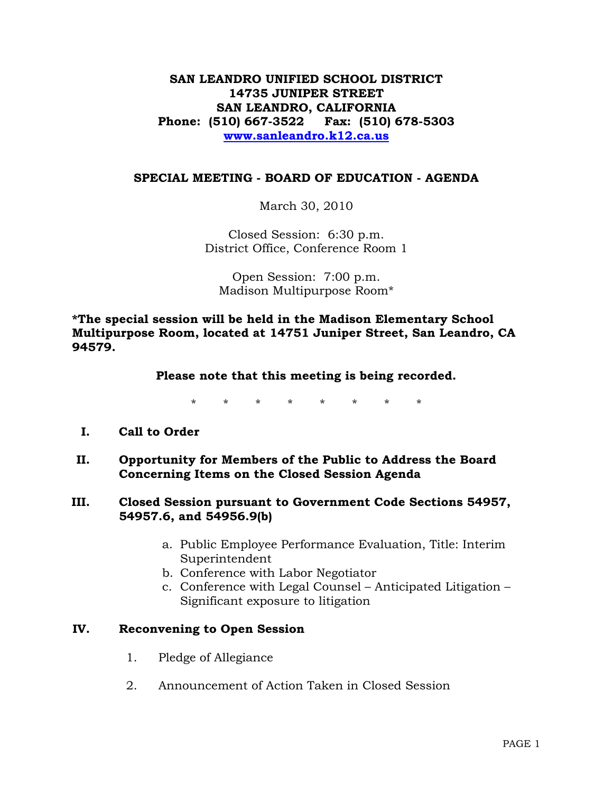## **SAN LEANDRO UNIFIED SCHOOL DISTRICT 14735 JUNIPER STREET SAN LEANDRO, CALIFORNIA Phone: (510) 667-3522 Fax: (510) 678-5303 [www.sanleandro.k12.ca.us](http://www.sanleandro.k12.ca.us/)**

### **SPECIAL MEETING - BOARD OF EDUCATION - AGENDA**

March 30, 2010

Closed Session: 6:30 p.m. District Office, Conference Room 1

Open Session: 7:00 p.m. Madison Multipurpose Room\*

**\*The special session will be held in the Madison Elementary School Multipurpose Room, located at 14751 Juniper Street, San Leandro, CA 94579.**

#### **Please note that this meeting is being recorded.**

\* \* \* \* \* \* \* \*

## **I. Call to Order**

**II. Opportunity for Members of the Public to Address the Board Concerning Items on the Closed Session Agenda** 

### **III. Closed Session pursuant to Government Code Sections 54957, 54957.6, and 54956.9(b)**

- a. Public Employee Performance Evaluation, Title: Interim Superintendent
- b. Conference with Labor Negotiator
- c. Conference with Legal Counsel Anticipated Litigation Significant exposure to litigation

#### **IV. Reconvening to Open Session**

- 1. Pledge of Allegiance
- 2. Announcement of Action Taken in Closed Session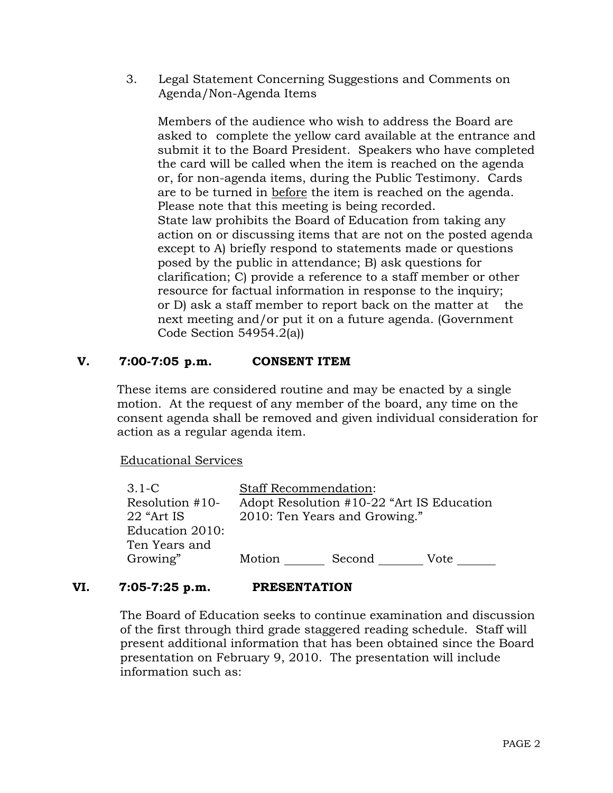3. Legal Statement Concerning Suggestions and Comments on Agenda/Non-Agenda Items

 Members of the audience who wish to address the Board are asked to complete the yellow card available at the entrance and submit it to the Board President. Speakers who have completed the card will be called when the item is reached on the agenda or, for non-agenda items, during the Public Testimony. Cards are to be turned in before the item is reached on the agenda. Please note that this meeting is being recorded. State law prohibits the Board of Education from taking any action on or discussing items that are not on the posted agenda except to A) briefly respond to statements made or questions posed by the public in attendance; B) ask questions for clarification; C) provide a reference to a staff member or other resource for factual information in response to the inquiry; or D) ask a staff member to report back on the matter at the next meeting and/or put it on a future agenda. (Government Code Section 54954.2(a))

# **V. 7:00-7:05 p.m. CONSENT ITEM**

These items are considered routine and may be enacted by a single motion. At the request of any member of the board, any time on the consent agenda shall be removed and given individual consideration for action as a regular agenda item.

Educational Services

| $3.1 - C$       | <b>Staff Recommendation:</b>              |        |      |  |
|-----------------|-------------------------------------------|--------|------|--|
| Resolution #10- | Adopt Resolution #10-22 "Art IS Education |        |      |  |
| 22 "Art IS"     | 2010: Ten Years and Growing."             |        |      |  |
| Education 2010: |                                           |        |      |  |
| Ten Years and   |                                           |        |      |  |
| Growing"        | Motion                                    | Second | Vote |  |

## **VI. 7:05-7:25 p.m. PRESENTATION**

 The Board of Education seeks to continue examination and discussion of the first through third grade staggered reading schedule. Staff will present additional information that has been obtained since the Board presentation on February 9, 2010. The presentation will include information such as: